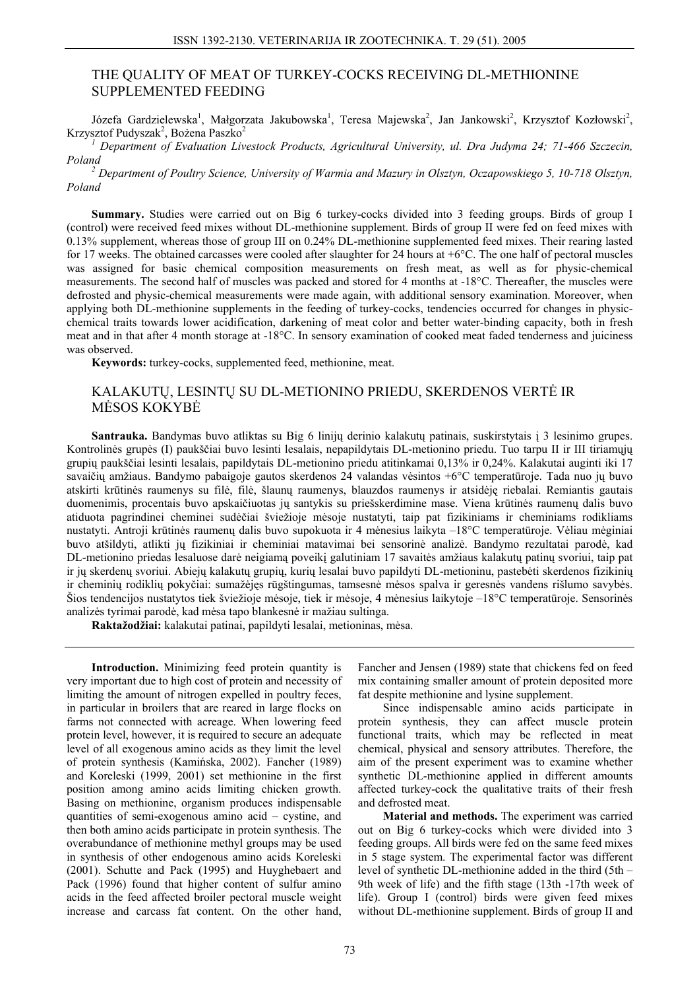## THE QUALITY OF MEAT OF TURKEY-COCKS RECEIVING DL-METHIONINE SUPPLEMENTED FEEDING

Józefa Gardzielewska<sup>1</sup>, Małgorzata Jakubowska<sup>1</sup>, Teresa Majewska<sup>2</sup>, Jan Jankowski<sup>2</sup>, Krzysztof Kozłowski<sup>2</sup>, Krzysztof Pudyszak<sup>2</sup>, Bożena Paszko<sup>2</sup>

<sup>1</sup> Department of Evaluation Livestock Products, Agricultural University, ul. Dra Judyma 24; 71-466 Szczecin, *Poland 2*

 *Department of Poultry Science, University of Warmia and Mazury in Olsztyn, Oczapowskiego 5, 10-718 Olsztyn, Poland* 

**Summary.** Studies were carried out on Big 6 turkey-cocks divided into 3 feeding groups. Birds of group I (control) were received feed mixes without DL-methionine supplement. Birds of group II were fed on feed mixes with 0.13% supplement, whereas those of group III on 0.24% DL-methionine supplemented feed mixes. Their rearing lasted for 17 weeks. The obtained carcasses were cooled after slaughter for 24 hours at +6°C. The one half of pectoral muscles was assigned for basic chemical composition measurements on fresh meat, as well as for physic-chemical measurements. The second half of muscles was packed and stored for 4 months at -18°C. Thereafter, the muscles were defrosted and physic-chemical measurements were made again, with additional sensory examination. Moreover, when applying both DL-methionine supplements in the feeding of turkey-cocks, tendencies occurred for changes in physicchemical traits towards lower acidification, darkening of meat color and better water-binding capacity, both in fresh meat and in that after 4 month storage at -18°C. In sensory examination of cooked meat faded tenderness and juiciness was observed.

**Keywords:** turkey-cocks, supplemented feed, methionine, meat.

## KALAKUTŲ, LESINTŲ SU DL-METIONINO PRIEDU, SKERDENOS VERTĖ IR MĖSOS KOKYBĖ

**Santrauka.** Bandymas buvo atliktas su Big 6 linijų derinio kalakutų patinais, suskirstytais į 3 lesinimo grupes. Kontrolinės grupės (I) paukščiai buvo lesinti lesalais, nepapildytais DL-metionino priedu. Tuo tarpu II ir III tiriamųjų grupių paukščiai lesinti lesalais, papildytais DL-metionino priedu atitinkamai 0,13% ir 0,24%. Kalakutai auginti iki 17 savaičių amžiaus. Bandymo pabaigoje gautos skerdenos 24 valandas vėsintos +6°C temperatūroje. Tada nuo jų buvo atskirti krūtinės raumenys su filė, filė, šlaunų raumenys, blauzdos raumenys ir atsidėję riebalai. Remiantis gautais duomenimis, procentais buvo apskaičiuotas jų santykis su priešskerdimine mase. Viena krūtinės raumenų dalis buvo atiduota pagrindinei cheminei sudėčiai šviežioje mėsoje nustatyti, taip pat fizikiniams ir cheminiams rodikliams nustatyti. Antroji krūtinės raumenų dalis buvo supokuota ir 4 mėnesius laikyta –18°C temperatūroje. Vėliau mėginiai buvo atšildyti, atlikti jų fizikiniai ir cheminiai matavimai bei sensorinė analizė. Bandymo rezultatai parodė, kad DL-metionino priedas lesaluose darė neigiamą poveikį galutiniam 17 savaitės amžiaus kalakutų patinų svoriui, taip pat ir jų skerdenų svoriui. Abiejų kalakutų grupių, kurių lesalai buvo papildyti DL-metioninu, pastebėti skerdenos fizikinių ir cheminių rodiklių pokyčiai: sumažėjęs rūgštingumas, tamsesnė mėsos spalva ir geresnės vandens rišlumo savybės. Šios tendencijos nustatytos tiek šviežioje mėsoje, tiek ir mėsoje, 4 mėnesius laikytoje –18°C temperatūroje. Sensorinės analizės tyrimai parodė, kad mėsa tapo blankesnė ir mažiau sultinga.

**Raktažodžiai:** kalakutai patinai, papildyti lesalai, metioninas, mėsa.

**Introduction.** Minimizing feed protein quantity is very important due to high cost of protein and necessity of limiting the amount of nitrogen expelled in poultry feces, in particular in broilers that are reared in large flocks on farms not connected with acreage. When lowering feed protein level, however, it is required to secure an adequate level of all exogenous amino acids as they limit the level of protein synthesis (Kamińska, 2002). Fancher (1989) and Koreleski (1999, 2001) set methionine in the first position among amino acids limiting chicken growth. Basing on methionine, organism produces indispensable quantities of semi-exogenous amino acid – cystine, and then both amino acids participate in protein synthesis. The overabundance of methionine methyl groups may be used in synthesis of other endogenous amino acids Koreleski (2001). Schutte and Pack (1995) and Huyghebaert and Pack (1996) found that higher content of sulfur amino acids in the feed affected broiler pectoral muscle weight increase and carcass fat content. On the other hand,

Fancher and Jensen (1989) state that chickens fed on feed mix containing smaller amount of protein deposited more fat despite methionine and lysine supplement.

Since indispensable amino acids participate in protein synthesis, they can affect muscle protein functional traits, which may be reflected in meat chemical, physical and sensory attributes. Therefore, the aim of the present experiment was to examine whether synthetic DL-methionine applied in different amounts affected turkey-cock the qualitative traits of their fresh and defrosted meat.

**Material and methods.** The experiment was carried out on Big 6 turkey-cocks which were divided into 3 feeding groups. All birds were fed on the same feed mixes in 5 stage system. The experimental factor was different level of synthetic DL-methionine added in the third (5th – 9th week of life) and the fifth stage (13th -17th week of life). Group I (control) birds were given feed mixes without DL-methionine supplement. Birds of group II and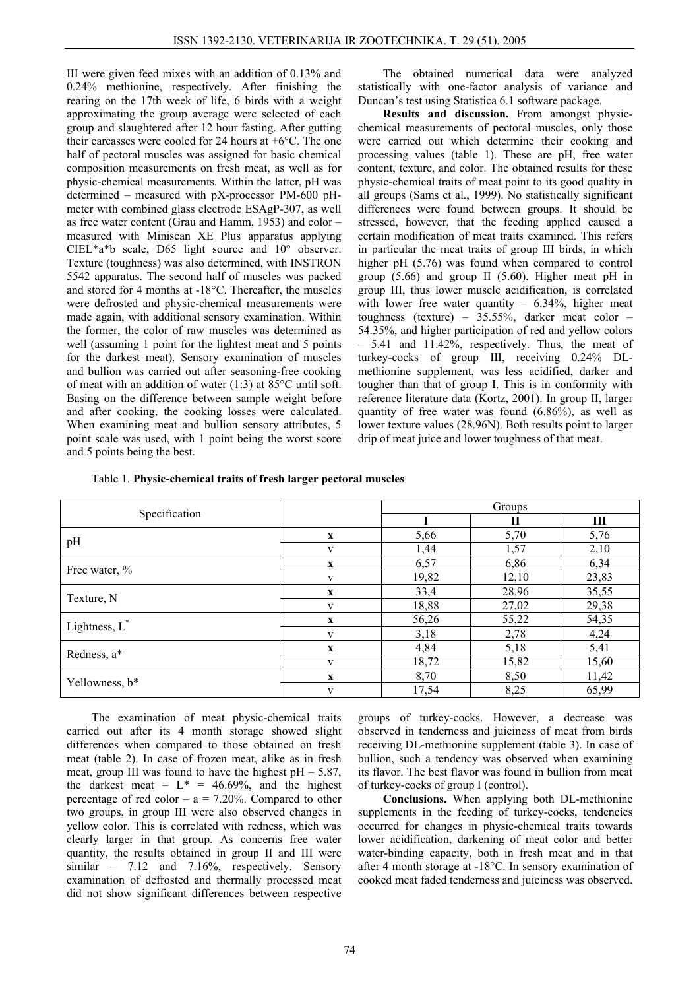III were given feed mixes with an addition of 0.13% and 0.24% methionine, respectively. After finishing the rearing on the 17th week of life, 6 birds with a weight approximating the group average were selected of each group and slaughtered after 12 hour fasting. After gutting their carcasses were cooled for 24 hours at +6°C. The one half of pectoral muscles was assigned for basic chemical composition measurements on fresh meat, as well as for physic-chemical measurements. Within the latter, pH was determined – measured with pX-processor PM-600 pHmeter with combined glass electrode ESAgP-307, as well as free water content (Grau and Hamm, 1953) and color – measured with Miniscan XE Plus apparatus applying CIEL\*a\*b scale, D65 light source and 10° observer. Texture (toughness) was also determined, with INSTRON 5542 apparatus. The second half of muscles was packed and stored for 4 months at -18°C. Thereafter, the muscles were defrosted and physic-chemical measurements were made again, with additional sensory examination. Within the former, the color of raw muscles was determined as well (assuming 1 point for the lightest meat and 5 points for the darkest meat). Sensory examination of muscles and bullion was carried out after seasoning-free cooking of meat with an addition of water (1:3) at 85°C until soft. Basing on the difference between sample weight before and after cooking, the cooking losses were calculated. When examining meat and bullion sensory attributes, 5 point scale was used, with 1 point being the worst score and 5 points being the best.

The obtained numerical data were analyzed statistically with one-factor analysis of variance and Duncan's test using Statistica 6.1 software package.

**Results and discussion.** From amongst physicchemical measurements of pectoral muscles, only those were carried out which determine their cooking and processing values (table 1). These are pH, free water content, texture, and color. The obtained results for these physic-chemical traits of meat point to its good quality in all groups (Sams et al., 1999). No statistically significant differences were found between groups. It should be stressed, however, that the feeding applied caused a certain modification of meat traits examined. This refers in particular the meat traits of group III birds, in which higher pH (5.76) was found when compared to control group (5.66) and group II (5.60). Higher meat pH in group III, thus lower muscle acidification, is correlated with lower free water quantity  $-6.34\%$ , higher meat toughness (texture) – 35.55%, darker meat color – 54.35%, and higher participation of red and yellow colors – 5.41 and 11.42%, respectively. Thus, the meat of turkey-cocks of group III, receiving 0.24% DLmethionine supplement, was less acidified, darker and tougher than that of group I. This is in conformity with reference literature data (Kortz, 2001). In group II, larger quantity of free water was found (6.86%), as well as lower texture values (28.96N). Both results point to larger drip of meat juice and lower toughness of that meat.

|  | Table 1. Physic-chemical traits of fresh larger pectoral muscles |  |  |  |
|--|------------------------------------------------------------------|--|--|--|
|--|------------------------------------------------------------------|--|--|--|

|                  |              | Groups |       |       |
|------------------|--------------|--------|-------|-------|
| Specification    |              |        | П     | Ш     |
| pH               | $\mathbf x$  | 5,66   | 5,70  | 5,76  |
|                  | V            | 1,44   | 1,57  | 2,10  |
| Free water, %    | $\mathbf X$  | 6,57   | 6,86  | 6,34  |
|                  | V            | 19,82  | 12,10 | 23,83 |
| Texture, N       | $\mathbf X$  | 33,4   | 28,96 | 35,55 |
|                  | $\mathbf{V}$ | 18,88  | 27,02 | 29,38 |
| Lightness, $L^*$ | $\mathbf X$  | 56,26  | 55,22 | 54,35 |
|                  | $\mathbf{V}$ | 3,18   | 2,78  | 4,24  |
| Redness, a*      | $\mathbf x$  | 4,84   | 5,18  | 5,41  |
|                  | V            | 18,72  | 15,82 | 15,60 |
| Yellowness, b*   | $\mathbf X$  | 8,70   | 8,50  | 11,42 |
|                  | $\mathbf{V}$ | 17,54  | 8,25  | 65,99 |

The examination of meat physic-chemical traits carried out after its 4 month storage showed slight differences when compared to those obtained on fresh meat (table 2). In case of frozen meat, alike as in fresh meat, group III was found to have the highest  $pH - 5.87$ , the darkest meat –  $L^* = 46.69\%$ , and the highest percentage of red color –  $a = 7.20\%$ . Compared to other two groups, in group III were also observed changes in yellow color. This is correlated with redness, which was clearly larger in that group. As concerns free water quantity, the results obtained in group II and III were similar – 7.12 and 7.16%, respectively. Sensory examination of defrosted and thermally processed meat did not show significant differences between respective

groups of turkey-cocks. However, a decrease was observed in tenderness and juiciness of meat from birds receiving DL-methionine supplement (table 3). In case of bullion, such a tendency was observed when examining its flavor. The best flavor was found in bullion from meat of turkey-cocks of group I (control).

**Conclusions.** When applying both DL-methionine supplements in the feeding of turkey-cocks, tendencies occurred for changes in physic-chemical traits towards lower acidification, darkening of meat color and better water-binding capacity, both in fresh meat and in that after 4 month storage at -18°C. In sensory examination of cooked meat faded tenderness and juiciness was observed.